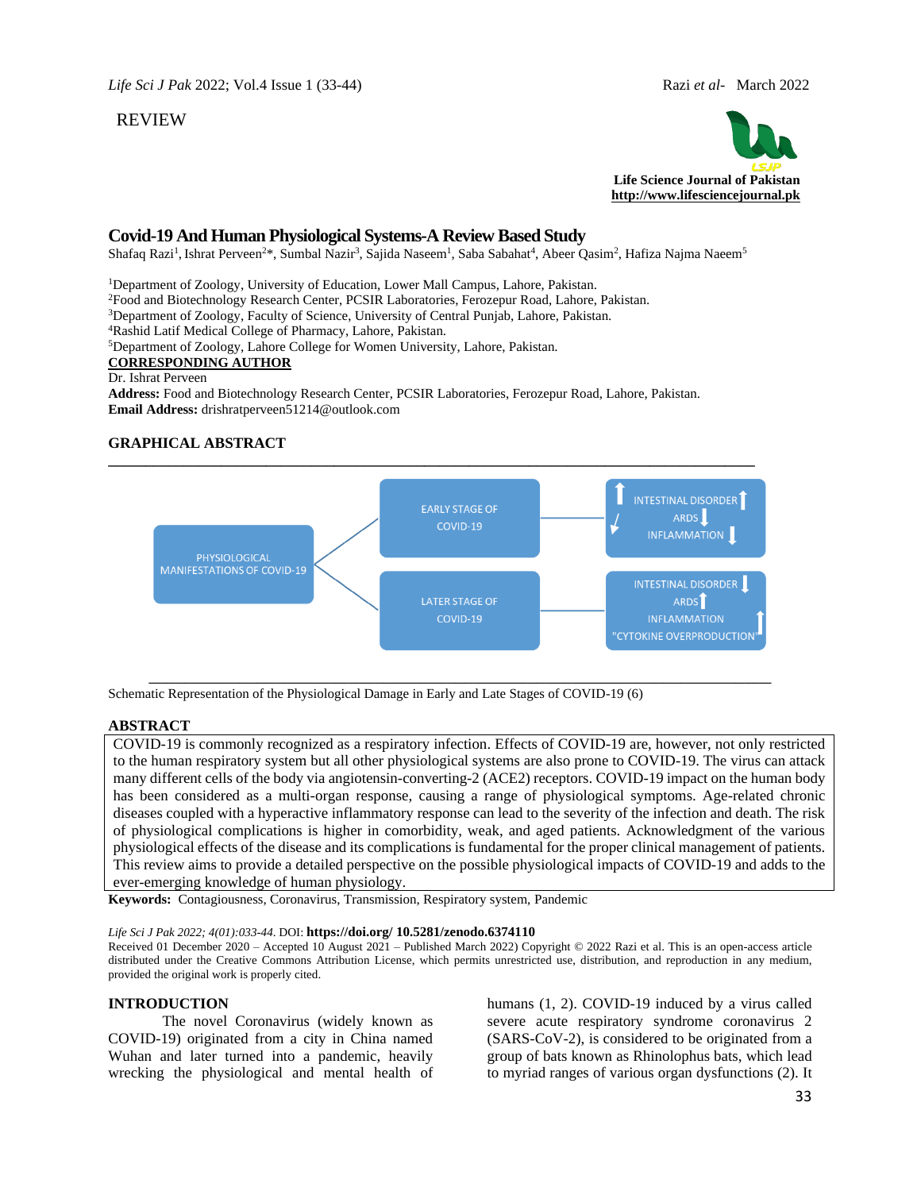### REVIEW



# **Covid-19 And Human Physiological Systems-A Review Based Study**

Shafaq Razi<sup>1</sup>, Ishrat Perveen<sup>2\*,</sup>, Sumbal Nazir<sup>3</sup>, Sajida Naseem<sup>1</sup>, Saba Sabahat<sup>4</sup>, Abeer Qasim<sup>2</sup>, Hafiza Najma Naeem<sup>5</sup>

<sup>1</sup>Department of Zoology, University of Education, Lower Mall Campus, Lahore, Pakistan.

<sup>2</sup>Food and Biotechnology Research Center, PCSIR Laboratories, Ferozepur Road, Lahore, Pakistan.

<sup>3</sup>Department of Zoology, Faculty of Science, University of Central Punjab, Lahore, Pakistan.

<sup>4</sup>Rashid Latif Medical College of Pharmacy, Lahore, Pakistan.

<sup>5</sup>Department of Zoology, Lahore College for Women University, Lahore, Pakistan.

## **CORRESPONDING AUTHOR**

#### Dr. Ishrat Perveen

**Address:** Food and Biotechnology Research Center, PCSIR Laboratories, Ferozepur Road, Lahore, Pakistan. **Email Address:** drishratperveen51214@outlook.com

### **GRAPHICAL ABSTRACT**



Schematic Representation of the Physiological Damage in Early and Late Stages of COVID-19 (6)

### **ABSTRACT**

COVID-19 is commonly recognized as a respiratory infection. Effects of COVID-19 are, however, not only restricted to the human respiratory system but all other physiological systems are also prone to COVID-19. The virus can attack many different cells of the body via angiotensin-converting-2 (ACE2) receptors. COVID-19 impact on the human body has been considered as a multi-organ response, causing a range of physiological symptoms. Age-related chronic diseases coupled with a hyperactive inflammatory response can lead to the severity of the infection and death. The risk of physiological complications is higher in comorbidity, weak, and aged patients. Acknowledgment of the various physiological effects of the disease and its complications is fundamental for the proper clinical management of patients. This review aims to provide a detailed perspective on the possible physiological impacts of COVID-19 and adds to the ever-emerging knowledge of human physiology.

**Keywords:** Contagiousness, Coronavirus, Transmission, Respiratory system, Pandemic

#### *Life Sci J Pak 2022; 4(01):033-44*. DOI: **https://doi.org/ 10.5281/zenodo.6374110**

Received 01 December 2020 – Accepted 10 August 2021 – Published March 2022) Copyright © 2022 Razi et al. This is an open-access article distributed under the Creative Commons Attribution License, which permits unrestricted use, distribution, and reproduction in any medium, provided the original work is properly cited.

### **INTRODUCTION**

The novel Coronavirus (widely known as COVID-19) originated from a city in China named Wuhan and later turned into a pandemic, heavily wrecking the physiological and mental health of humans  $(1, 2)$ . COVID-19 induced by a virus called severe acute respiratory syndrome coronavirus 2 (SARS-CoV-2), is considered to be originated from a group of bats known as Rhinolophus bats, which lead to myriad ranges of various organ dysfunctions (2). It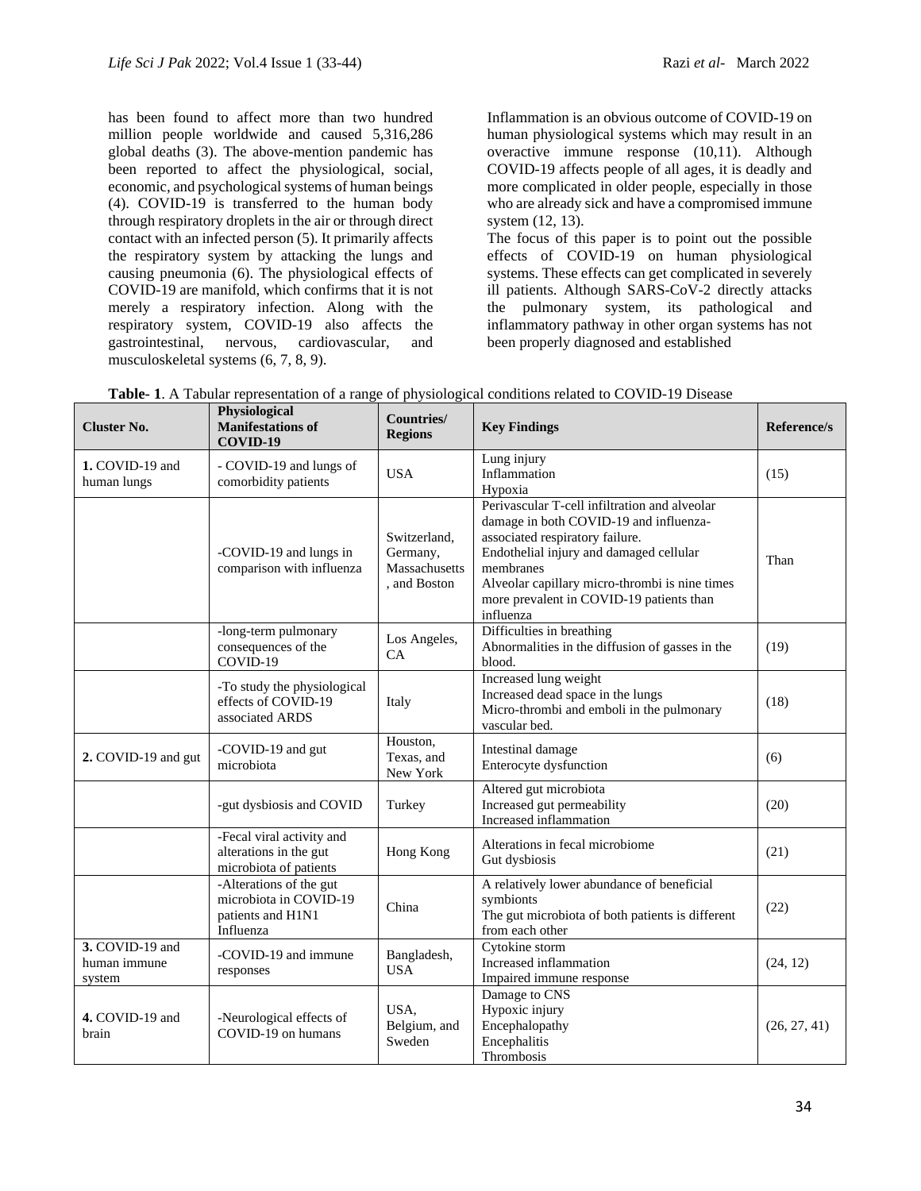has been found to affect more than two hundred million people worldwide and caused 5,316,286 global deaths (3). The above-mention pandemic has been reported to affect the physiological, social, economic, and psychological systems of human beings (4). COVID-19 is transferred to the human body through respiratory droplets in the air or through direct contact with an infected person (5). It primarily affects the respiratory system by attacking the lungs and causing pneumonia (6). The physiological effects of COVID-19 are manifold, which confirms that it is not merely a respiratory infection. Along with the respiratory system, COVID-19 also affects the gastrointestinal, nervous, cardiovascular, and musculoskeletal systems (6, 7, 8, 9).

Inflammation is an obvious outcome of COVID-19 on human physiological systems which may result in an overactive immune response (10,11). Although COVID-19 affects people of all ages, it is deadly and more complicated in older people, especially in those who are already sick and have a compromised immune system (12, 13).

The focus of this paper is to point out the possible effects of COVID-19 on human physiological systems. These effects can get complicated in severely ill patients. Although SARS-CoV-2 directly attacks the pulmonary system, its pathological and inflammatory pathway in other organ systems has not been properly diagnosed and established

| <b>Cluster No.</b>                        | Physiological<br><b>Manifestations of</b><br>COVID-19                               | Countries/<br><b>Regions</b>                              | <b>Key Findings</b>                                                                                                                                                                                                                                                                           | Reference/s  |
|-------------------------------------------|-------------------------------------------------------------------------------------|-----------------------------------------------------------|-----------------------------------------------------------------------------------------------------------------------------------------------------------------------------------------------------------------------------------------------------------------------------------------------|--------------|
| 1. COVID-19 and<br>human lungs            | - COVID-19 and lungs of<br>comorbidity patients                                     | <b>USA</b>                                                | Lung injury<br>Inflammation<br>Hypoxia                                                                                                                                                                                                                                                        | (15)         |
|                                           | -COVID-19 and lungs in<br>comparison with influenza                                 | Switzerland,<br>Germany,<br>Massachusetts<br>, and Boston | Perivascular T-cell infiltration and alveolar<br>damage in both COVID-19 and influenza-<br>associated respiratory failure.<br>Endothelial injury and damaged cellular<br>membranes<br>Alveolar capillary micro-thrombi is nine times<br>more prevalent in COVID-19 patients than<br>influenza | Than         |
|                                           | -long-term pulmonary<br>consequences of the<br>COVID-19                             | Los Angeles,<br>CA                                        | Difficulties in breathing<br>Abnormalities in the diffusion of gasses in the<br>blood.                                                                                                                                                                                                        | (19)         |
|                                           | -To study the physiological<br>effects of COVID-19<br>associated ARDS               | Italy                                                     | Increased lung weight<br>Increased dead space in the lungs<br>Micro-thrombi and emboli in the pulmonary<br>vascular bed.                                                                                                                                                                      | (18)         |
| 2. COVID-19 and gut                       | -COVID-19 and gut<br>microbiota                                                     | Houston,<br>Texas, and<br>New York                        | Intestinal damage<br>Enterocyte dysfunction                                                                                                                                                                                                                                                   | (6)          |
|                                           | -gut dysbiosis and COVID                                                            | Turkey                                                    | Altered gut microbiota<br>Increased gut permeability<br>Increased inflammation                                                                                                                                                                                                                | (20)         |
|                                           | -Fecal viral activity and<br>alterations in the gut<br>microbiota of patients       | Hong Kong                                                 | Alterations in fecal microbiome<br>Gut dysbiosis                                                                                                                                                                                                                                              | (21)         |
|                                           | -Alterations of the gut<br>microbiota in COVID-19<br>patients and H1N1<br>Influenza | China                                                     | A relatively lower abundance of beneficial<br>symbionts<br>The gut microbiota of both patients is different<br>from each other                                                                                                                                                                | (22)         |
| 3. COVID-19 and<br>human immune<br>system | -COVID-19 and immune<br>responses                                                   | Bangladesh,<br><b>USA</b>                                 | Cytokine storm<br>Increased inflammation<br>Impaired immune response                                                                                                                                                                                                                          | (24, 12)     |
| 4. COVID-19 and<br>brain                  | -Neurological effects of<br>COVID-19 on humans                                      | USA,<br>Belgium, and<br>Sweden                            | Damage to CNS<br>Hypoxic injury<br>Encephalopathy<br>Encephalitis<br>Thrombosis                                                                                                                                                                                                               | (26, 27, 41) |

**Table- 1**. A Tabular representation of a range of physiological conditions related to COVID-19 Disease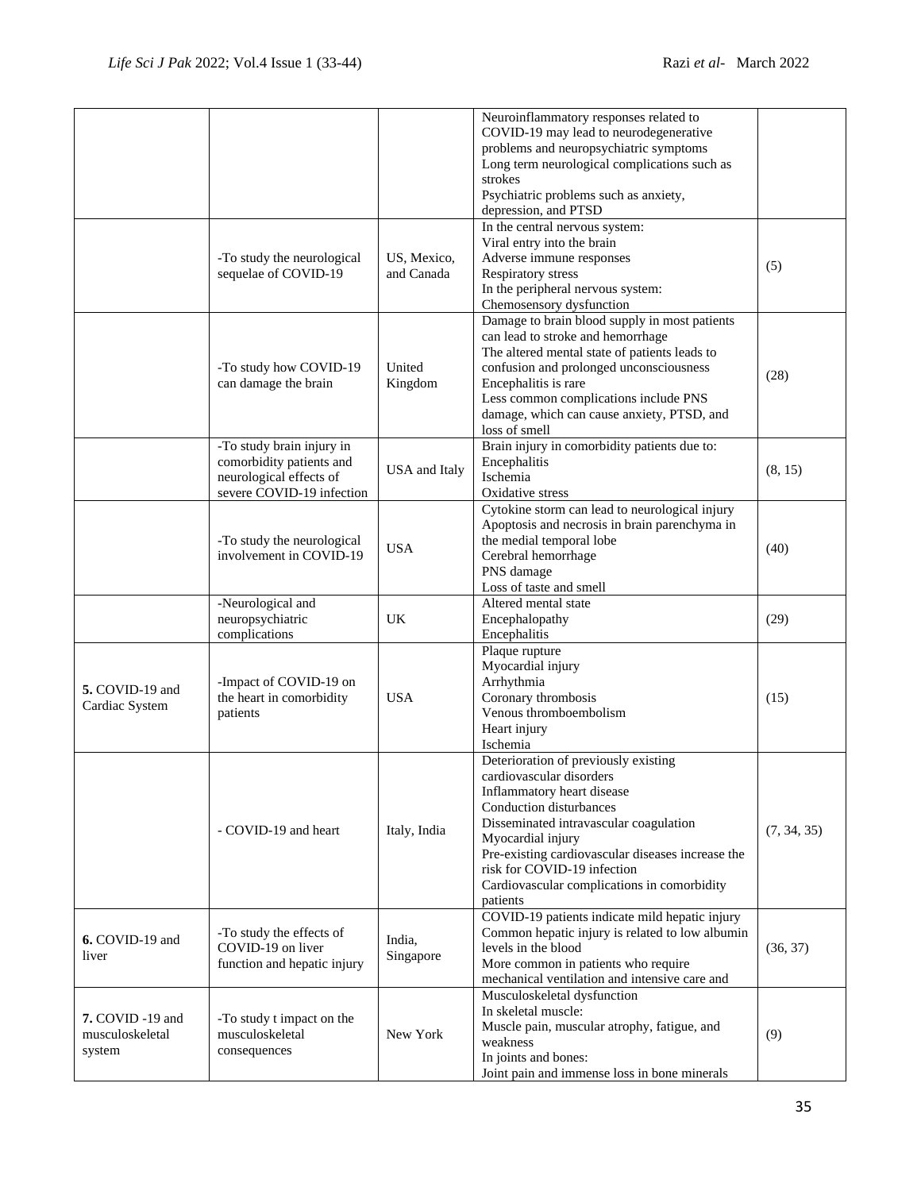|                                                      |                                                                                                               |                           | Neuroinflammatory responses related to<br>COVID-19 may lead to neurodegenerative<br>problems and neuropsychiatric symptoms<br>Long term neurological complications such as<br>strokes<br>Psychiatric problems such as anxiety,<br>depression, and PTSD                                                                                  |             |
|------------------------------------------------------|---------------------------------------------------------------------------------------------------------------|---------------------------|-----------------------------------------------------------------------------------------------------------------------------------------------------------------------------------------------------------------------------------------------------------------------------------------------------------------------------------------|-------------|
|                                                      | -To study the neurological<br>sequelae of COVID-19                                                            | US, Mexico,<br>and Canada | In the central nervous system:<br>Viral entry into the brain<br>Adverse immune responses<br>Respiratory stress<br>In the peripheral nervous system:<br>Chemosensory dysfunction                                                                                                                                                         | (5)         |
|                                                      | -To study how COVID-19<br>can damage the brain                                                                | United<br>Kingdom         | Damage to brain blood supply in most patients<br>can lead to stroke and hemorrhage<br>The altered mental state of patients leads to<br>confusion and prolonged unconsciousness<br>Encephalitis is rare<br>Less common complications include PNS<br>damage, which can cause anxiety, PTSD, and<br>loss of smell                          | (28)        |
|                                                      | -To study brain injury in<br>comorbidity patients and<br>neurological effects of<br>severe COVID-19 infection | <b>USA</b> and Italy      | Brain injury in comorbidity patients due to:<br>Encephalitis<br>Ischemia<br>Oxidative stress                                                                                                                                                                                                                                            | (8, 15)     |
|                                                      | -To study the neurological<br>involvement in COVID-19                                                         | <b>USA</b>                | Cytokine storm can lead to neurological injury<br>Apoptosis and necrosis in brain parenchyma in<br>the medial temporal lobe<br>Cerebral hemorrhage<br>PNS damage<br>Loss of taste and smell                                                                                                                                             | (40)        |
|                                                      | -Neurological and<br>neuropsychiatric<br>complications                                                        | UK                        | Altered mental state<br>Encephalopathy<br>Encephalitis                                                                                                                                                                                                                                                                                  | (29)        |
| 5. COVID-19 and<br>Cardiac System                    | -Impact of COVID-19 on<br>the heart in comorbidity<br>patients                                                | <b>USA</b>                | Plaque rupture<br>Myocardial injury<br>Arrhythmia<br>Coronary thrombosis<br>Venous thromboembolism<br>Heart injury<br>Ischemia                                                                                                                                                                                                          | (15)        |
|                                                      | - COVID-19 and heart                                                                                          | Italy, India              | Deterioration of previously existing<br>cardiovascular disorders<br>Inflammatory heart disease<br>Conduction disturbances<br>Disseminated intravascular coagulation<br>Myocardial injury<br>Pre-existing cardiovascular diseases increase the<br>risk for COVID-19 infection<br>Cardiovascular complications in comorbidity<br>patients | (7, 34, 35) |
| 6. COVID-19 and<br>liver                             | -To study the effects of<br>COVID-19 on liver<br>function and hepatic injury                                  | India,<br>Singapore       | COVID-19 patients indicate mild hepatic injury<br>Common hepatic injury is related to low albumin<br>levels in the blood<br>More common in patients who require<br>mechanical ventilation and intensive care and                                                                                                                        | (36, 37)    |
| <b>7.</b> COVID -19 and<br>musculoskeletal<br>system | -To study t impact on the<br>musculoskeletal<br>consequences                                                  | New York                  | Musculoskeletal dysfunction<br>In skeletal muscle:<br>Muscle pain, muscular atrophy, fatigue, and<br>weakness<br>In joints and bones:<br>Joint pain and immense loss in bone minerals                                                                                                                                                   | (9)         |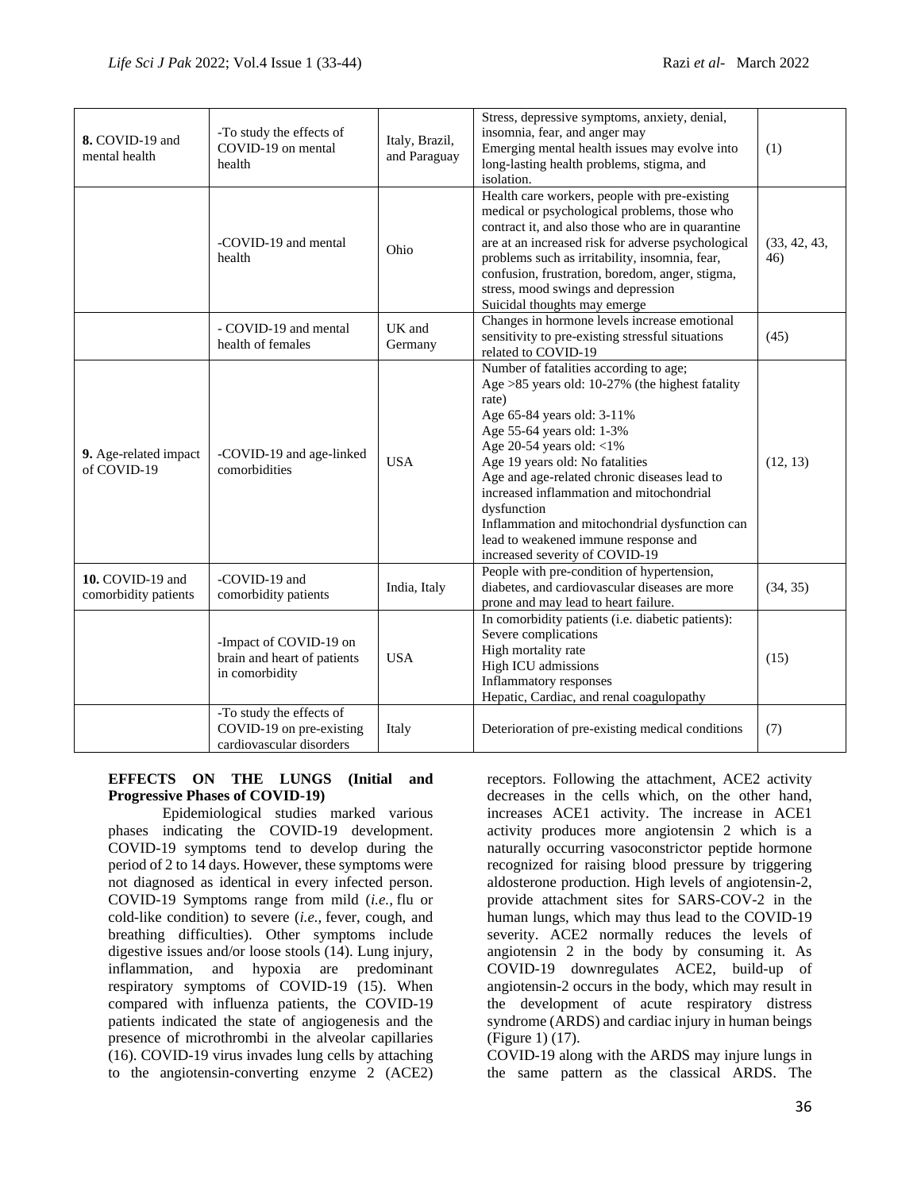| 8. COVID-19 and<br>mental health         | -To study the effects of<br>COVID-19 on mental<br>health                         | Italy, Brazil,<br>and Paraguay | Stress, depressive symptoms, anxiety, denial,<br>insomnia, fear, and anger may<br>Emerging mental health issues may evolve into<br>long-lasting health problems, stigma, and<br>isolation.                                                                                                                                                                                                                                                                               | (1)                 |
|------------------------------------------|----------------------------------------------------------------------------------|--------------------------------|--------------------------------------------------------------------------------------------------------------------------------------------------------------------------------------------------------------------------------------------------------------------------------------------------------------------------------------------------------------------------------------------------------------------------------------------------------------------------|---------------------|
|                                          | -COVID-19 and mental<br>health                                                   | Ohio                           | Health care workers, people with pre-existing<br>medical or psychological problems, those who<br>contract it, and also those who are in quarantine<br>are at an increased risk for adverse psychological<br>problems such as irritability, insomnia, fear,<br>confusion, frustration, boredom, anger, stigma,<br>stress, mood swings and depression<br>Suicidal thoughts may emerge                                                                                      | (33, 42, 43,<br>46) |
|                                          | - COVID-19 and mental<br>health of females                                       | UK and<br>Germany              | Changes in hormone levels increase emotional<br>sensitivity to pre-existing stressful situations<br>related to COVID-19                                                                                                                                                                                                                                                                                                                                                  | (45)                |
| 9. Age-related impact<br>of COVID-19     | -COVID-19 and age-linked<br>comorbidities                                        | <b>USA</b>                     | Number of fatalities according to age;<br>Age $>85$ years old: 10-27% (the highest fatality<br>rate)<br>Age 65-84 years old: 3-11%<br>Age 55-64 years old: 1-3%<br>Age 20-54 years old: $<$ 1%<br>Age 19 years old: No fatalities<br>Age and age-related chronic diseases lead to<br>increased inflammation and mitochondrial<br>dysfunction<br>Inflammation and mitochondrial dysfunction can<br>lead to weakened immune response and<br>increased severity of COVID-19 | (12, 13)            |
| 10. COVID-19 and<br>comorbidity patients | -COVID-19 and<br>comorbidity patients                                            | India, Italy                   | People with pre-condition of hypertension,<br>diabetes, and cardiovascular diseases are more<br>prone and may lead to heart failure.                                                                                                                                                                                                                                                                                                                                     | (34, 35)            |
|                                          | -Impact of COVID-19 on<br>brain and heart of patients<br>in comorbidity          | <b>USA</b>                     | In comorbidity patients (i.e. diabetic patients):<br>Severe complications<br>High mortality rate<br>High ICU admissions<br>Inflammatory responses<br>Hepatic, Cardiac, and renal coagulopathy                                                                                                                                                                                                                                                                            | (15)                |
|                                          | -To study the effects of<br>COVID-19 on pre-existing<br>cardiovascular disorders | Italy                          | Deterioration of pre-existing medical conditions                                                                                                                                                                                                                                                                                                                                                                                                                         | (7)                 |

## **EFFECTS ON THE LUNGS (Initial and Progressive Phases of COVID-19)**

Epidemiological studies marked various phases indicating the COVID-19 development. COVID-19 symptoms tend to develop during the period of 2 to 14 days. However, these symptoms were not diagnosed as identical in every infected person. COVID-19 Symptoms range from mild (*i.e.,* flu or cold-like condition) to severe (*i.e.,* fever, cough, and breathing difficulties). Other symptoms include digestive issues and/or loose stools (14). Lung injury, inflammation, and hypoxia are predominant respiratory symptoms of COVID-19 (15). When compared with influenza patients, the COVID-19 patients indicated the state of angiogenesis and the presence of microthrombi in the alveolar capillaries (16). COVID-19 virus invades lung cells by attaching to the angiotensin-converting enzyme 2 (ACE2) receptors. Following the attachment, ACE2 activity decreases in the cells which, on the other hand, increases ACE1 activity. The increase in ACE1 activity produces more angiotensin 2 which is a naturally occurring vasoconstrictor peptide hormone recognized for raising blood pressure by triggering aldosterone production. High levels of angiotensin-2, provide attachment sites for SARS-COV-2 in the human lungs, which may thus lead to the COVID-19 severity. ACE2 normally reduces the levels of angiotensin 2 in the body by consuming it. As COVID-19 downregulates ACE2, build-up of angiotensin-2 occurs in the body, which may result in the development of acute respiratory distress syndrome (ARDS) and cardiac injury in human beings (Figure 1) (17).

COVID-19 along with the ARDS may injure lungs in the same pattern as the classical ARDS. The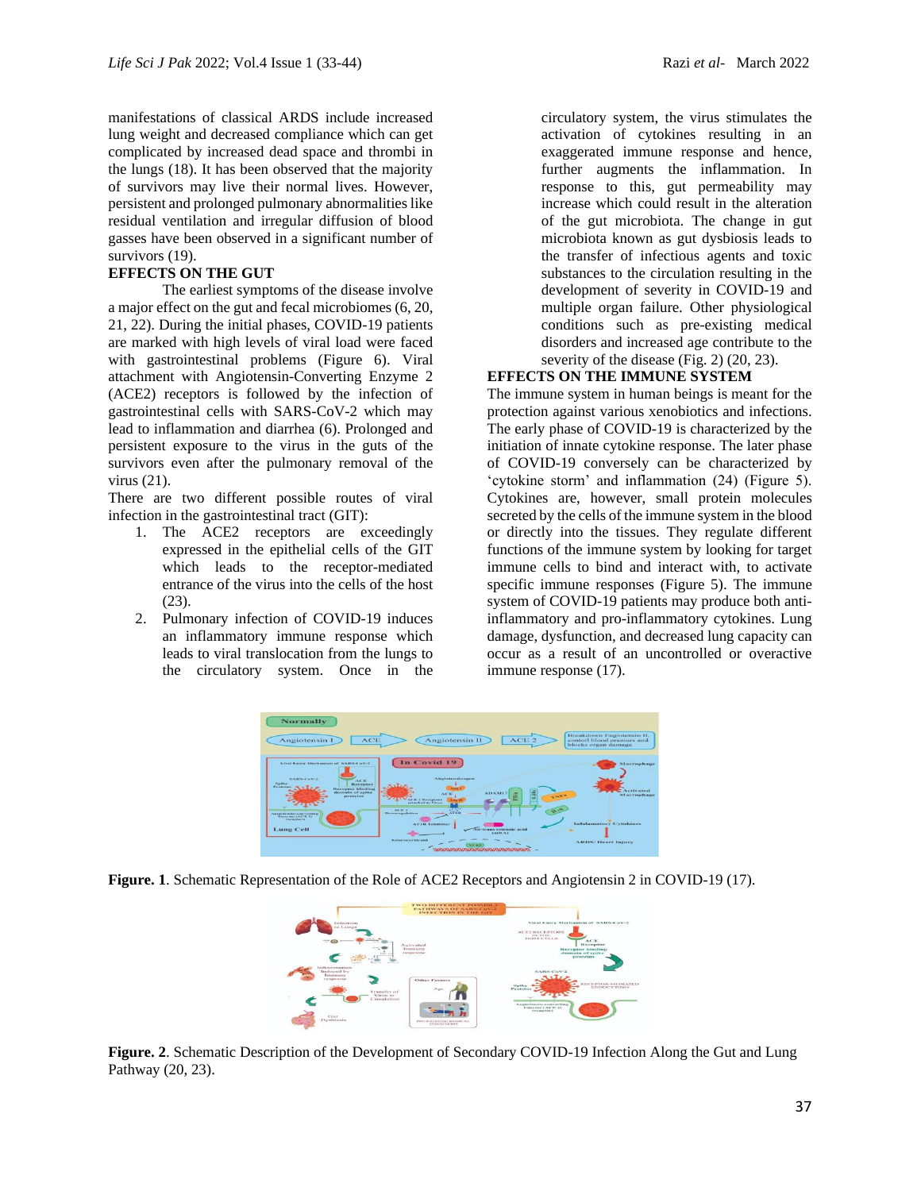manifestations of classical ARDS include increased lung weight and decreased compliance which can get complicated by increased dead space and thrombi in the lungs (18). It has been observed that the majority of survivors may live their normal lives. However, persistent and prolonged pulmonary abnormalities like residual ventilation and irregular diffusion of blood gasses have been observed in a significant number of survivors (19).

### **EFFECTS ON THE GUT**

The earliest symptoms of the disease involve a major effect on the gut and fecal microbiomes (6, 20, 21, 22). During the initial phases, COVID-19 patients are marked with high levels of viral load were faced with gastrointestinal problems (Figure 6). Viral attachment with Angiotensin-Converting Enzyme 2 (ACE2) receptors is followed by the infection of gastrointestinal cells with SARS-CoV-2 which may lead to inflammation and diarrhea (6). Prolonged and persistent exposure to the virus in the guts of the survivors even after the pulmonary removal of the virus (21).

There are two different possible routes of viral infection in the gastrointestinal tract (GIT):

- 1. The ACE2 receptors are exceedingly expressed in the epithelial cells of the GIT which leads to the receptor-mediated entrance of the virus into the cells of the host (23).
- 2. Pulmonary infection of COVID-19 induces an inflammatory immune response which leads to viral translocation from the lungs to the circulatory system. Once in the

circulatory system, the virus stimulates the activation of cytokines resulting in an exaggerated immune response and hence, further augments the inflammation. In response to this, gut permeability may increase which could result in the alteration of the gut microbiota. The change in gut microbiota known as gut dysbiosis leads to the transfer of infectious agents and toxic substances to the circulation resulting in the development of severity in COVID-19 and multiple organ failure. Other physiological conditions such as pre-existing medical disorders and increased age contribute to the severity of the disease (Fig. 2) (20, 23).

## **EFFECTS ON THE IMMUNE SYSTEM**

The immune system in human beings is meant for the protection against various xenobiotics and infections. The early phase of COVID-19 is characterized by the initiation of innate cytokine response. The later phase of COVID-19 conversely can be characterized by 'cytokine storm' and inflammation (24) (Figure 5). Cytokines are, however, small protein molecules secreted by the cells of the immune system in the blood or directly into the tissues. They regulate different functions of the immune system by looking for target immune cells to bind and interact with, to activate specific immune responses (Figure 5). The immune system of COVID-19 patients may produce both antiinflammatory and pro-inflammatory cytokines. Lung damage, dysfunction, and decreased lung capacity can occur as a result of an uncontrolled or overactive immune response (17).







**Figure. 2**. Schematic Description of the Development of Secondary COVID-19 Infection Along the Gut and Lung Pathway (20, 23).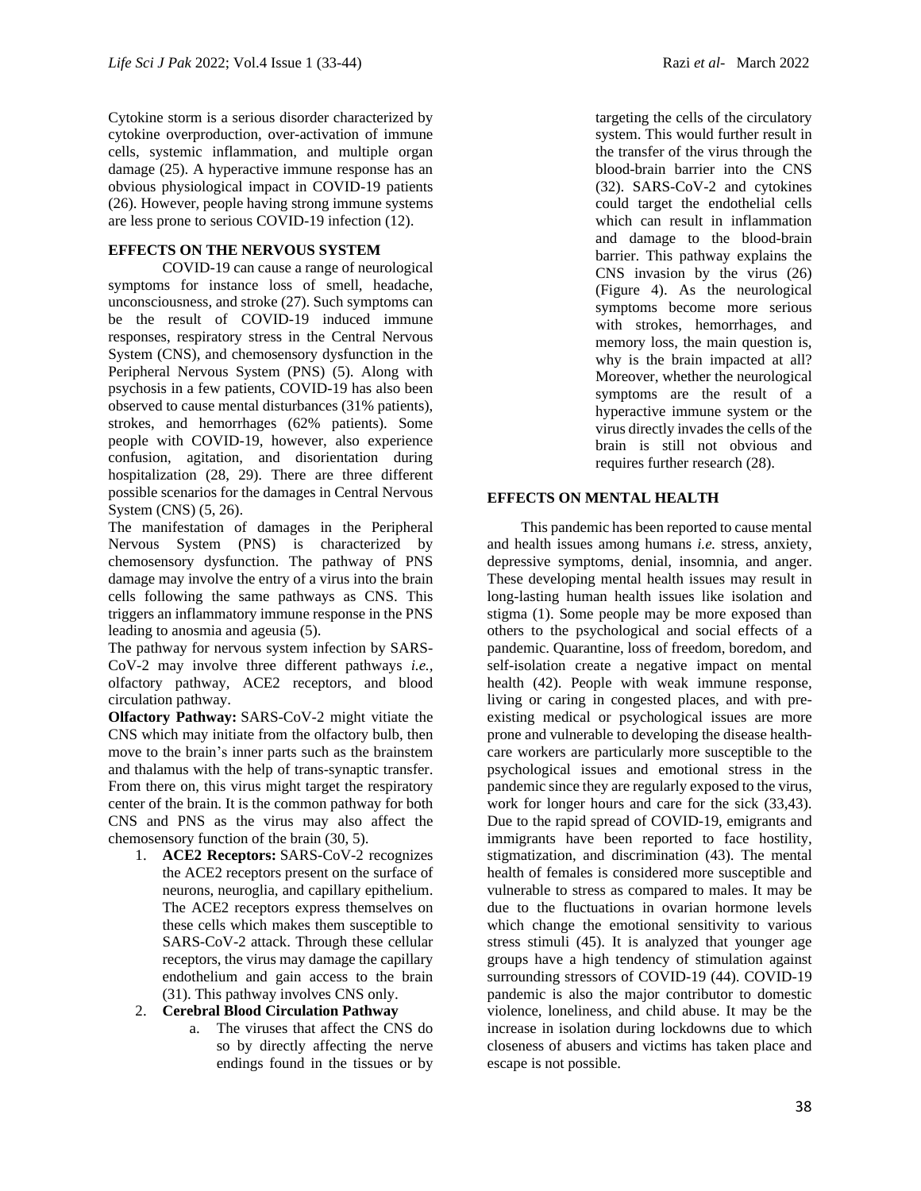Cytokine storm is a serious disorder characterized by cytokine overproduction, over-activation of immune cells, systemic inflammation, and multiple organ damage (25). A hyperactive immune response has an obvious physiological impact in COVID-19 patients (26). However, people having strong immune systems are less prone to serious COVID-19 infection (12).

# **EFFECTS ON THE NERVOUS SYSTEM**

COVID-19 can cause a range of neurological symptoms for instance loss of smell, headache, unconsciousness, and stroke (27). Such symptoms can be the result of COVID-19 induced immune responses, respiratory stress in the Central Nervous System (CNS), and chemosensory dysfunction in the Peripheral Nervous System (PNS) (5). Along with psychosis in a few patients, COVID-19 has also been observed to cause mental disturbances (31% patients), strokes, and hemorrhages (62% patients). Some people with COVID-19, however, also experience confusion, agitation, and disorientation during hospitalization (28, 29). There are three different possible scenarios for the damages in Central Nervous System (CNS) (5, 26).

The manifestation of damages in the Peripheral Nervous System (PNS) is characterized by chemosensory dysfunction. The pathway of PNS damage may involve the entry of a virus into the brain cells following the same pathways as CNS. This triggers an inflammatory immune response in the PNS leading to anosmia and ageusia (5).

The pathway for nervous system infection by SARS-CoV-2 may involve three different pathways *i.e.,* olfactory pathway, ACE2 receptors, and blood circulation pathway.

**Olfactory Pathway:** SARS-CoV-2 might vitiate the CNS which may initiate from the olfactory bulb, then move to the brain's inner parts such as the brainstem and thalamus with the help of trans-synaptic transfer. From there on, this virus might target the respiratory center of the brain. It is the common pathway for both CNS and PNS as the virus may also affect the chemosensory function of the brain (30, 5).

1. **ACE2 Receptors:** SARS-CoV-2 recognizes the ACE2 receptors present on the surface of neurons, neuroglia, and capillary epithelium. The ACE2 receptors express themselves on these cells which makes them susceptible to SARS-CoV-2 attack. Through these cellular receptors, the virus may damage the capillary endothelium and gain access to the brain (31). This pathway involves CNS only.

## 2. **Cerebral Blood Circulation Pathway**

a. The viruses that affect the CNS do so by directly affecting the nerve endings found in the tissues or by

targeting the cells of the circulatory system. This would further result in the transfer of the virus through the blood-brain barrier into the CNS (32). SARS-CoV-2 and cytokines could target the endothelial cells which can result in inflammation and damage to the blood-brain barrier. This pathway explains the CNS invasion by the virus (26) (Figure 4). As the neurological symptoms become more serious with strokes, hemorrhages, and memory loss, the main question is, why is the brain impacted at all? Moreover, whether the neurological symptoms are the result of a hyperactive immune system or the virus directly invades the cells of the brain is still not obvious and requires further research (28).

## **EFFECTS ON MENTAL HEALTH**

This pandemic has been reported to cause mental and health issues among humans *i.e.* stress, anxiety, depressive symptoms, denial, insomnia, and anger. These developing mental health issues may result in long-lasting human health issues like isolation and stigma (1). Some people may be more exposed than others to the psychological and social effects of a pandemic. Quarantine, loss of freedom, boredom, and self-isolation create a negative impact on mental health (42). People with weak immune response, living or caring in congested places, and with preexisting medical or psychological issues are more prone and vulnerable to developing the disease healthcare workers are particularly more susceptible to the psychological issues and emotional stress in the pandemic since they are regularly exposed to the virus, work for longer hours and care for the sick (33,43). Due to the rapid spread of COVID-19, emigrants and immigrants have been reported to face hostility, stigmatization, and discrimination (43). The mental health of females is considered more susceptible and vulnerable to stress as compared to males. It may be due to the fluctuations in ovarian hormone levels which change the emotional sensitivity to various stress stimuli (45). It is analyzed that younger age groups have a high tendency of stimulation against surrounding stressors of COVID-19 (44). COVID-19 pandemic is also the major contributor to domestic violence, loneliness, and child abuse. It may be the increase in isolation during lockdowns due to which closeness of abusers and victims has taken place and escape is not possible.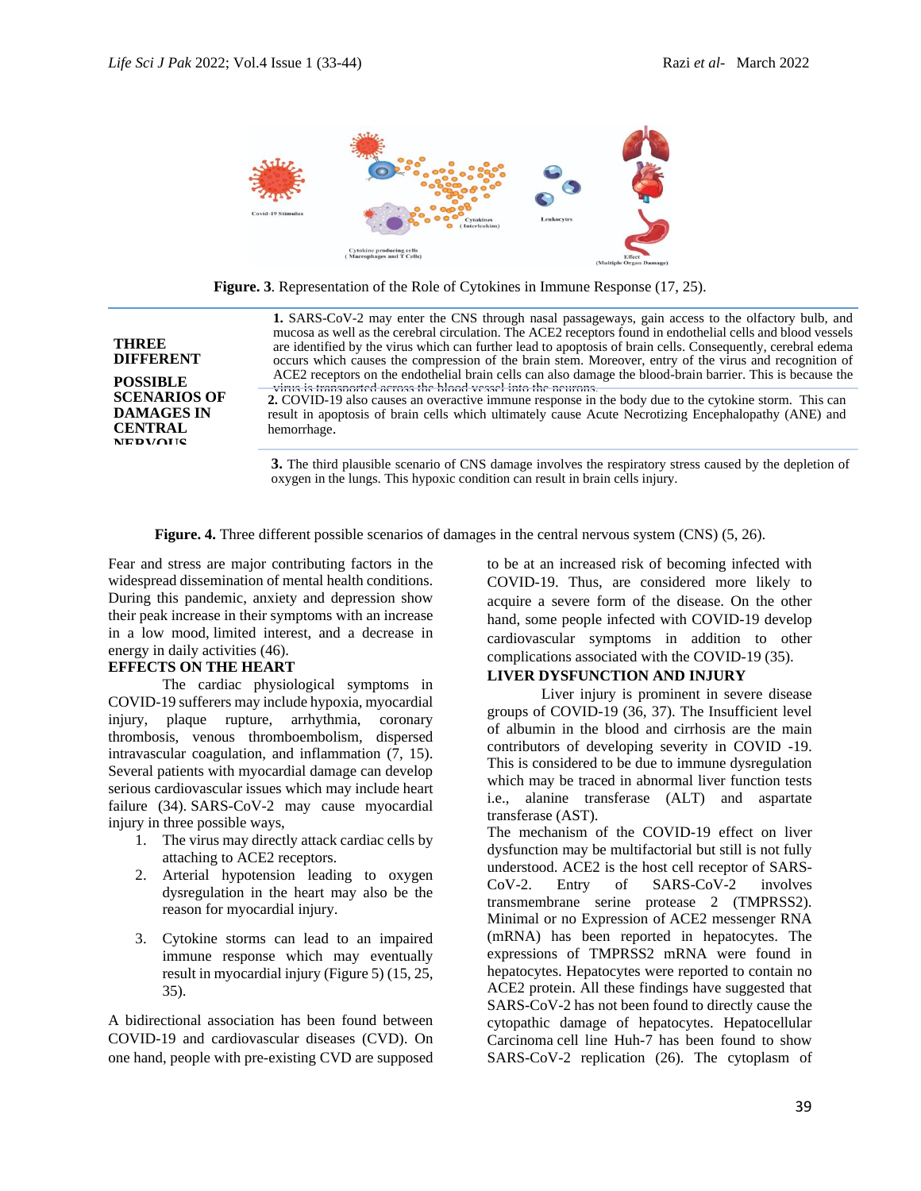

**Figure. 3**. Representation of the Role of Cytokines in Immune Response (17, 25).

**1.** SARS-CoV-2 may enter the CNS through nasal passageways, gain access to the olfactory bulb, and mucosa as well as the cerebral circulation. The ACE2 receptors found in endothelial cells and blood vessels are identified by the virus which can further lead to apoptosis of brain cells. Consequently, cerebral edema occurs which causes the compression of the brain stem. Moreover, entry of the virus and recognition of ACE2 receptors on the endothelial brain cells can also damage the blood-brain barrier. This is because the virus is transported across the blood vessel into the neurons.

**2.** COVID-19 also causes an overactive immune response in the body due to the cytokine storm. This can result in apoptosis of brain cells which ultimately cause Acute Necrotizing Encephalopathy (ANE) and hemorrhage.

**3.** The third plausible scenario of CNS damage involves the respiratory stress caused by the depletion of oxygen in the lungs. This hypoxic condition can result in brain cells injury.

**Figure. 4.** Three different possible scenarios of damages in the central nervous system (CNS) (5, 26).

Fear and stress are major contributing factors in the widespread dissemination of mental health conditions. During this pandemic, anxiety and depression show their peak increase in their symptoms with an increase in a low mood, limited interest, and a decrease in energy in daily activities (46).

## **EFFECTS ON THE HEART**

**THREE DIFFERENT POSSIBLE SCENARIOS OF DAMAGES IN CENTRAL NEDVALIC** 

The cardiac physiological symptoms in COVID-19 sufferers may include hypoxia, myocardial injury, plaque rupture, arrhythmia, coronary thrombosis, venous thromboembolism, dispersed intravascular coagulation, and inflammation (7, 15). Several patients with myocardial damage can develop serious cardiovascular issues which may include heart failure (34). SARS-CoV-2 may cause myocardial injury in three possible ways,

- 1. The virus may directly attack cardiac cells by attaching to ACE2 receptors.
- 2. Arterial hypotension leading to oxygen dysregulation in the heart may also be the reason for myocardial injury.
- 3. Cytokine storms can lead to an impaired immune response which may eventually result in myocardial injury (Figure 5) (15, 25, 35).

A bidirectional association has been found between COVID-19 and cardiovascular diseases (CVD). On one hand, people with pre-existing CVD are supposed to be at an increased risk of becoming infected with COVID-19. Thus, are considered more likely to acquire a severe form of the disease. On the other hand, some people infected with COVID-19 develop cardiovascular symptoms in addition to other complications associated with the COVID-19 (35).

### **LIVER DYSFUNCTION AND INJURY**

Liver injury is prominent in severe disease groups of COVID-19 (36, 37). The Insufficient level of albumin in the blood and cirrhosis are the main contributors of developing severity in COVID -19. This is considered to be due to immune dysregulation which may be traced in abnormal liver function tests i.e., alanine transferase (ALT) and aspartate transferase (AST).

The mechanism of the COVID-19 effect on liver dysfunction may be multifactorial but still is not fully understood. ACE2 is the host cell receptor of SARS-CoV-2. Entry of SARS-CoV-2 involves transmembrane serine protease 2 (TMPRSS2). Minimal or no Expression of ACE2 messenger RNA (mRNA) has been reported in hepatocytes. The expressions of TMPRSS2 mRNA were found in hepatocytes. Hepatocytes were reported to contain no ACE2 protein. All these findings have suggested that SARS-CoV-2 has not been found to directly cause the cytopathic damage of hepatocytes. Hepatocellular Carcinoma cell line Huh-7 has been found to show SARS-CoV-2 replication (26). The cytoplasm of

39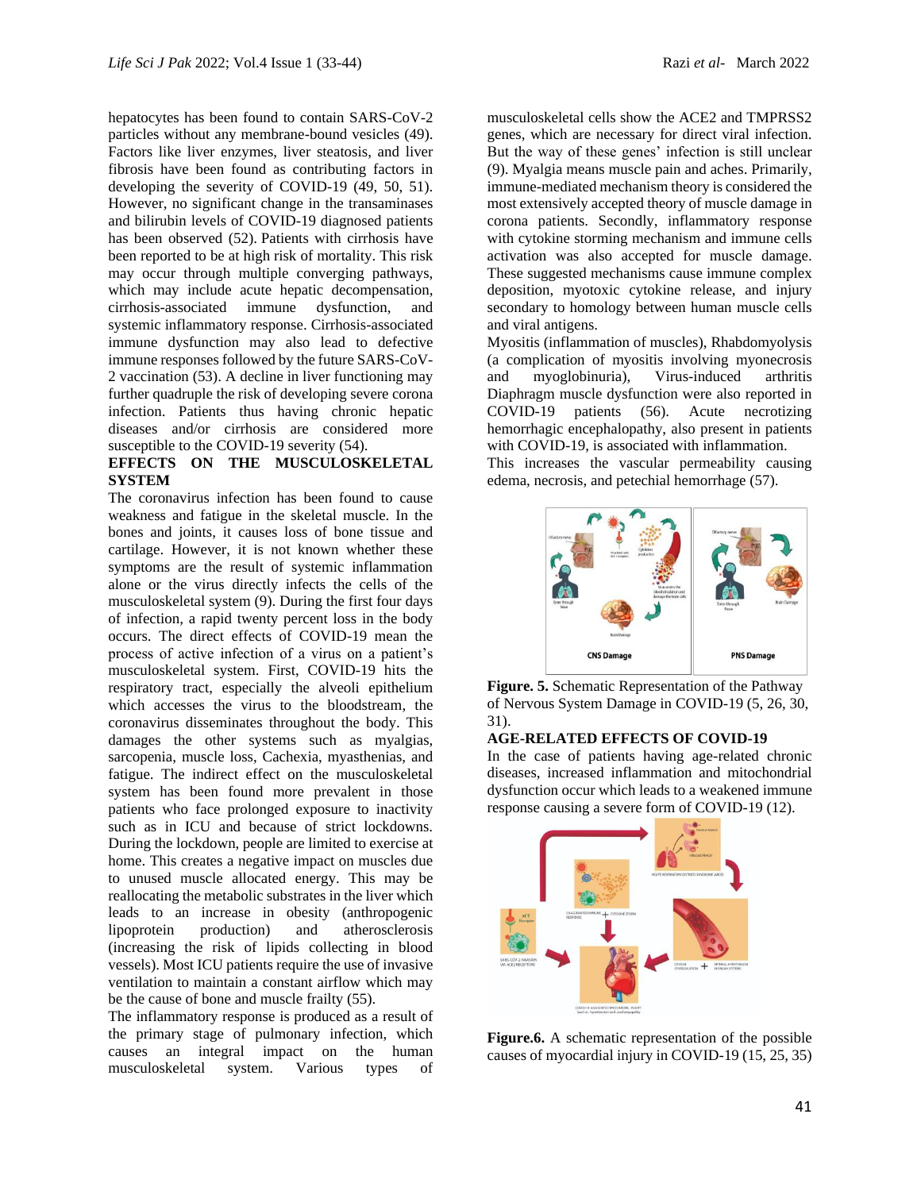hepatocytes has been found to contain SARS-CoV-2 particles without any membrane-bound vesicles (49). Factors like liver enzymes, liver steatosis, and liver fibrosis have been found as contributing factors in developing the severity of COVID-19 (49, 50, 51). However, no significant change in the transaminases and bilirubin levels of COVID-19 diagnosed patients has been observed (52). Patients with cirrhosis have been reported to be at high risk of mortality. This risk may occur through multiple converging pathways, which may include acute hepatic decompensation, cirrhosis-associated immune dysfunction, and systemic inflammatory response. Cirrhosis-associated immune dysfunction may also lead to defective immune responses followed by the future SARS-CoV-2 vaccination (53). A decline in liver functioning may further quadruple the risk of developing severe corona infection. Patients thus having chronic hepatic diseases and/or cirrhosis are considered more susceptible to the COVID-19 severity (54).

# **EFFECTS ON THE MUSCULOSKELETAL SYSTEM**

The coronavirus infection has been found to cause weakness and fatigue in the skeletal muscle. In the bones and joints, it causes loss of bone tissue and cartilage. However, it is not known whether these symptoms are the result of systemic inflammation alone or the virus directly infects the cells of the musculoskeletal system (9). During the first four days of infection, a rapid twenty percent loss in the body occurs. The direct effects of COVID-19 mean the process of active infection of a virus on a patient's musculoskeletal system. First, COVID-19 hits the respiratory tract, especially the alveoli epithelium which accesses the virus to the bloodstream, the coronavirus disseminates throughout the body. This damages the other systems such as myalgias, sarcopenia, muscle loss, Cachexia, myasthenias, and fatigue. The indirect effect on the musculoskeletal system has been found more prevalent in those patients who face prolonged exposure to inactivity such as in ICU and because of strict lockdowns. During the lockdown, people are limited to exercise at home. This creates a negative impact on muscles due to unused muscle allocated energy. This may be reallocating the metabolic substrates in the liver which leads to an increase in obesity (anthropogenic lipoprotein production) and atherosclerosis (increasing the risk of lipids collecting in blood vessels). Most ICU patients require the use of invasive ventilation to maintain a constant airflow which may be the cause of bone and muscle frailty (55).

The inflammatory response is produced as a result of the primary stage of pulmonary infection, which causes an integral impact on the human musculoskeletal system. Various types of

musculoskeletal cells show the ACE2 and TMPRSS2 genes, which are necessary for direct viral infection. But the way of these genes' infection is still unclear (9). Myalgia means muscle pain and aches. Primarily, immune-mediated mechanism theory is considered the most extensively accepted theory of muscle damage in corona patients. Secondly, inflammatory response with cytokine storming mechanism and immune cells activation was also accepted for muscle damage. These suggested mechanisms cause immune complex deposition, myotoxic cytokine release, and injury secondary to homology between human muscle cells and viral antigens.

Myositis (inflammation of muscles), Rhabdomyolysis (a complication of myositis involving myonecrosis and myoglobinuria), Virus-induced arthritis Diaphragm muscle dysfunction were also reported in COVID-19 patients (56). Acute necrotizing hemorrhagic encephalopathy, also present in patients with COVID-19, is associated with inflammation. This increases the vascular permeability causing edema, necrosis, and petechial hemorrhage (57).



**Figure. 5.** Schematic Representation of the Pathway of Nervous System Damage in COVID-19 (5, 26, 30, 31).

### **AGE-RELATED EFFECTS OF COVID-19**

In the case of patients having age-related chronic diseases, increased inflammation and mitochondrial dysfunction occur which leads to a weakened immune response causing a severe form of COVID-19 (12).



**Figure.6.** A schematic representation of the possible causes of myocardial injury in COVID-19 (15, 25, 35)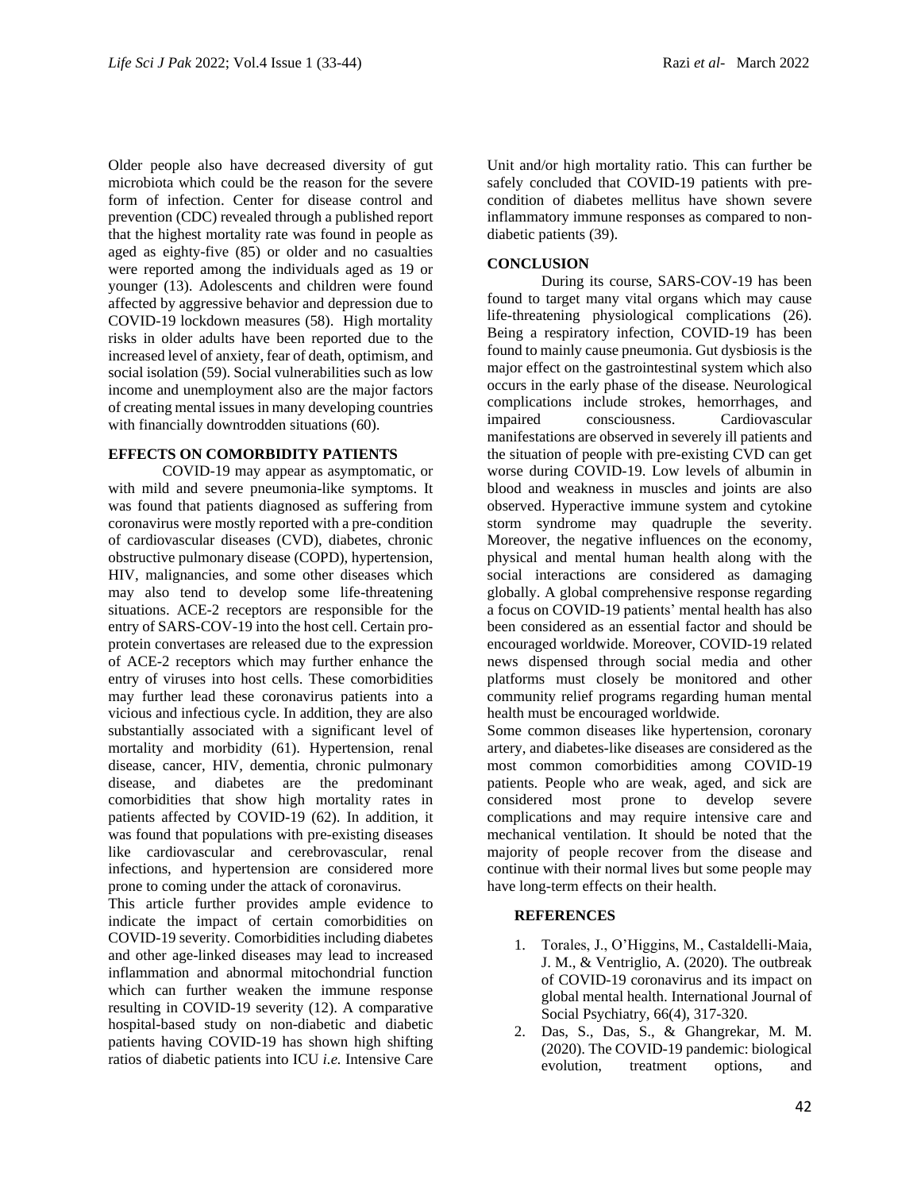Older people also have decreased diversity of gut microbiota which could be the reason for the severe form of infection. Center for disease control and prevention (CDC) revealed through a published report that the highest mortality rate was found in people as aged as eighty-five (85) or older and no casualties were reported among the individuals aged as 19 or younger (13). Adolescents and children were found affected by aggressive behavior and depression due to COVID-19 lockdown measures (58). High mortality risks in older adults have been reported due to the increased level of anxiety, fear of death, optimism, and social isolation (59). Social vulnerabilities such as low income and unemployment also are the major factors of creating mental issues in many developing countries with financially downtrodden situations (60).

### **EFFECTS ON COMORBIDITY PATIENTS**

COVID-19 may appear as asymptomatic, or with mild and severe pneumonia-like symptoms. It was found that patients diagnosed as suffering from coronavirus were mostly reported with a pre-condition of cardiovascular diseases (CVD), diabetes, chronic obstructive pulmonary disease (COPD), hypertension, HIV, malignancies, and some other diseases which may also tend to develop some life-threatening situations. ACE-2 receptors are responsible for the entry of SARS-COV-19 into the host cell. Certain proprotein convertases are released due to the expression of ACE-2 receptors which may further enhance the entry of viruses into host cells. These comorbidities may further lead these coronavirus patients into a vicious and infectious cycle. In addition, they are also substantially associated with a significant level of mortality and morbidity (61). Hypertension, renal disease, cancer, HIV, dementia, chronic pulmonary disease, and diabetes are the predominant comorbidities that show high mortality rates in patients affected by COVID-19 (62). In addition, it was found that populations with pre-existing diseases like cardiovascular and cerebrovascular, renal infections, and hypertension are considered more prone to coming under the attack of coronavirus.

This article further provides ample evidence to indicate the impact of certain comorbidities on COVID-19 severity. Comorbidities including diabetes and other age-linked diseases may lead to increased inflammation and abnormal mitochondrial function which can further weaken the immune response resulting in COVID-19 severity (12). A comparative hospital-based study on non-diabetic and diabetic patients having COVID-19 has shown high shifting ratios of diabetic patients into ICU *i.e.* Intensive Care

Unit and/or high mortality ratio. This can further be safely concluded that COVID-19 patients with precondition of diabetes mellitus have shown severe inflammatory immune responses as compared to nondiabetic patients (39).

### **CONCLUSION**

During its course, SARS-COV-19 has been found to target many vital organs which may cause life-threatening physiological complications (26). Being a respiratory infection, COVID-19 has been found to mainly cause pneumonia. Gut dysbiosis is the major effect on the gastrointestinal system which also occurs in the early phase of the disease. Neurological complications include strokes, hemorrhages, and impaired consciousness. Cardiovascular manifestations are observed in severely ill patients and the situation of people with pre-existing CVD can get worse during COVID-19. Low levels of albumin in blood and weakness in muscles and joints are also observed. Hyperactive immune system and cytokine storm syndrome may quadruple the severity. Moreover, the negative influences on the economy, physical and mental human health along with the social interactions are considered as damaging globally. A global comprehensive response regarding a focus on COVID-19 patients' mental health has also been considered as an essential factor and should be encouraged worldwide. Moreover, COVID-19 related news dispensed through social media and other platforms must closely be monitored and other community relief programs regarding human mental health must be encouraged worldwide.

Some common diseases like hypertension, coronary artery, and diabetes-like diseases are considered as the most common comorbidities among COVID-19 patients. People who are weak, aged, and sick are considered most prone to develop severe complications and may require intensive care and mechanical ventilation. It should be noted that the majority of people recover from the disease and continue with their normal lives but some people may have long-term effects on their health.

## **REFERENCES**

- 1. Torales, J., O'Higgins, M., Castaldelli-Maia, J. M., & Ventriglio, A. (2020). The outbreak of COVID-19 coronavirus and its impact on global mental health. International Journal of Social Psychiatry, 66(4), 317-320.
- 2. Das, S., Das, S., & Ghangrekar, M. M. (2020). The COVID-19 pandemic: biological evolution, treatment options, and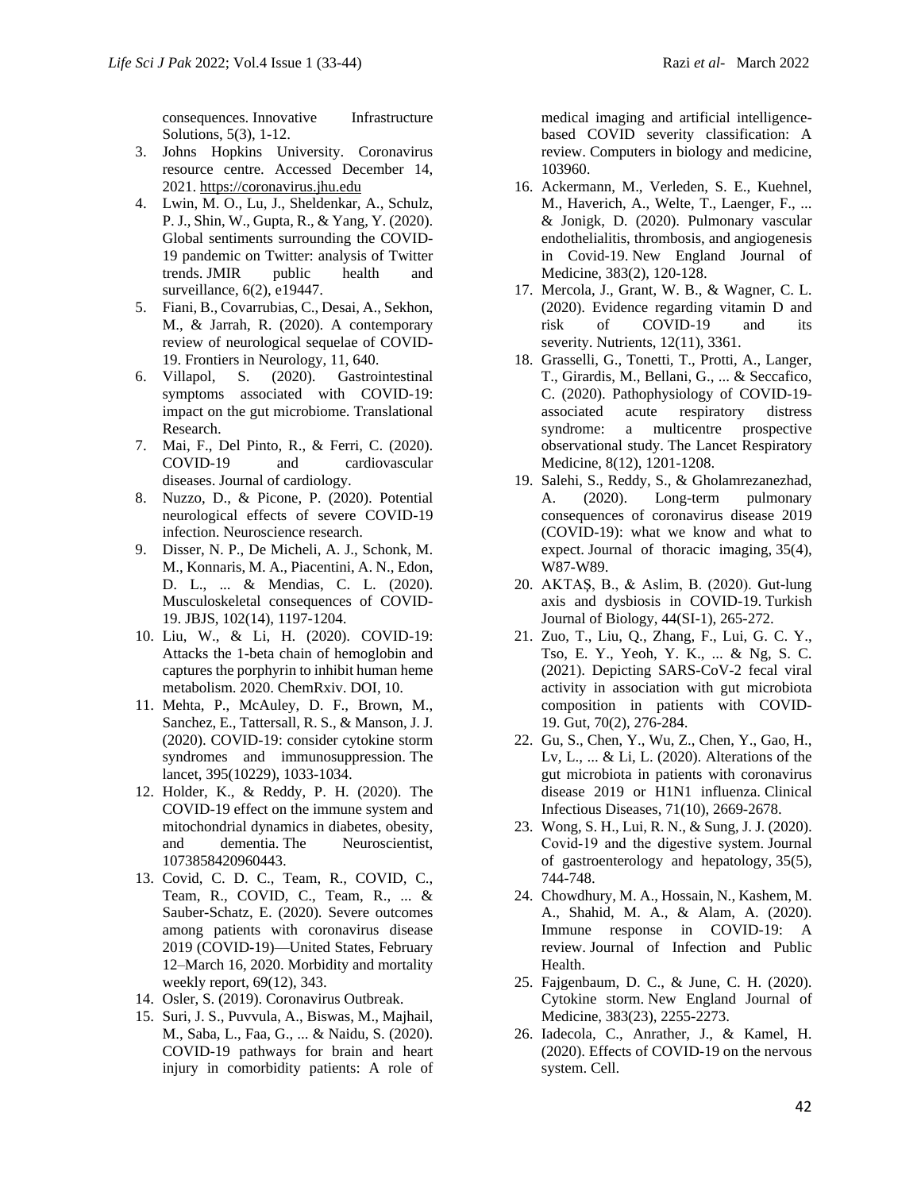consequences. Innovative Infrastructure Solutions, 5(3), 1-12.

- 3. Johns Hopkins University. Coronavirus resource centre. Accessed December 14, 2021. [https://coronavirus.jhu.edu](https://coronavirus.jhu.edu/)
- 4. Lwin, M. O., Lu, J., Sheldenkar, A., Schulz, P. J., Shin, W., Gupta, R., & Yang, Y. (2020). Global sentiments surrounding the COVID-19 pandemic on Twitter: analysis of Twitter trends. JMIR public health and surveillance, 6(2), e19447.
- 5. Fiani, B., Covarrubias, C., Desai, A., Sekhon, M., & Jarrah, R. (2020). A contemporary review of neurological sequelae of COVID-19. Frontiers in Neurology, 11, 640.
- 6. Villapol, S. (2020). Gastrointestinal symptoms associated with COVID-19: impact on the gut microbiome. Translational Research.
- 7. Mai, F., Del Pinto, R., & Ferri, C. (2020). COVID-19 and cardiovascular diseases. Journal of cardiology.
- 8. Nuzzo, D., & Picone, P. (2020). Potential neurological effects of severe COVID-19 infection. Neuroscience research.
- 9. Disser, N. P., De Micheli, A. J., Schonk, M. M., Konnaris, M. A., Piacentini, A. N., Edon, D. L., ... & Mendias, C. L. (2020). Musculoskeletal consequences of COVID-19. JBJS, 102(14), 1197-1204.
- 10. Liu, W., & Li, H. (2020). COVID-19: Attacks the 1-beta chain of hemoglobin and captures the porphyrin to inhibit human heme metabolism. 2020. ChemRxiv. DOI, 10.
- 11. Mehta, P., McAuley, D. F., Brown, M., Sanchez, E., Tattersall, R. S., & Manson, J. J. (2020). COVID-19: consider cytokine storm syndromes and immunosuppression. The lancet, 395(10229), 1033-1034.
- 12. Holder, K., & Reddy, P. H. (2020). The COVID-19 effect on the immune system and mitochondrial dynamics in diabetes, obesity, and dementia. The Neuroscientist, 1073858420960443.
- 13. Covid, C. D. C., Team, R., COVID, C., Team, R., COVID, C., Team, R., ... & Sauber-Schatz, E. (2020). Severe outcomes among patients with coronavirus disease 2019 (COVID-19)—United States, February 12–March 16, 2020. Morbidity and mortality weekly report, 69(12), 343.
- 14. Osler, S. (2019). Coronavirus Outbreak.
- 15. Suri, J. S., Puvvula, A., Biswas, M., Majhail, M., Saba, L., Faa, G., ... & Naidu, S. (2020). COVID-19 pathways for brain and heart injury in comorbidity patients: A role of

medical imaging and artificial intelligencebased COVID severity classification: A review. Computers in biology and medicine, 103960.

- 16. Ackermann, M., Verleden, S. E., Kuehnel, M., Haverich, A., Welte, T., Laenger, F., ... & Jonigk, D. (2020). Pulmonary vascular endothelialitis, thrombosis, and angiogenesis in Covid-19. New England Journal of Medicine, 383(2), 120-128.
- 17. Mercola, J., Grant, W. B., & Wagner, C. L. (2020). Evidence regarding vitamin D and risk of COVID-19 and its severity. Nutrients, 12(11), 3361.
- 18. Grasselli, G., Tonetti, T., Protti, A., Langer, T., Girardis, M., Bellani, G., ... & Seccafico, C. (2020). Pathophysiology of COVID-19 associated acute respiratory distress syndrome: a multicentre prospective observational study. The Lancet Respiratory Medicine, 8(12), 1201-1208.
- 19. Salehi, S., Reddy, S., & Gholamrezanezhad, A. (2020). Long-term pulmonary consequences of coronavirus disease 2019 (COVID-19): what we know and what to expect. Journal of thoracic imaging, 35(4), W87-W89.
- 20. AKTAŞ, B., & Aslim, B. (2020). Gut-lung axis and dysbiosis in COVID-19. Turkish Journal of Biology, 44(SI-1), 265-272.
- 21. Zuo, T., Liu, Q., Zhang, F., Lui, G. C. Y., Tso, E. Y., Yeoh, Y. K., ... & Ng, S. C. (2021). Depicting SARS-CoV-2 fecal viral activity in association with gut microbiota composition in patients with COVID-19. Gut, 70(2), 276-284.
- 22. Gu, S., Chen, Y., Wu, Z., Chen, Y., Gao, H., Lv, L., ... & Li, L. (2020). Alterations of the gut microbiota in patients with coronavirus disease 2019 or H1N1 influenza. Clinical Infectious Diseases, 71(10), 2669-2678.
- 23. Wong, S. H., Lui, R. N., & Sung, J. J. (2020). Covid‐19 and the digestive system. Journal of gastroenterology and hepatology, 35(5), 744-748.
- 24. Chowdhury, M. A., Hossain, N., Kashem, M. A., Shahid, M. A., & Alam, A. (2020). Immune response in COVID-19: A review. Journal of Infection and Public Health.
- 25. Fajgenbaum, D. C., & June, C. H. (2020). Cytokine storm. New England Journal of Medicine, 383(23), 2255-2273.
- 26. Iadecola, C., Anrather, J., & Kamel, H. (2020). Effects of COVID-19 on the nervous system. Cell.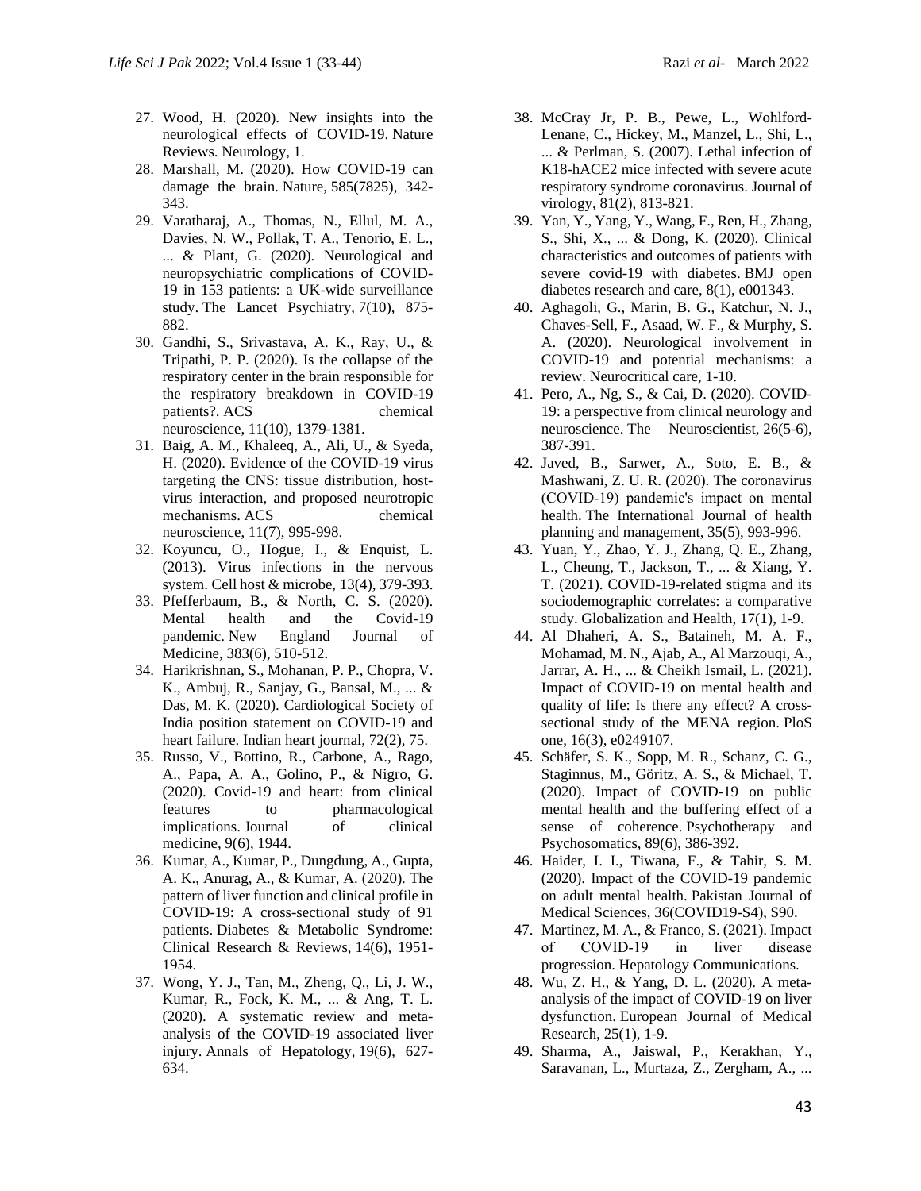- 27. Wood, H. (2020). New insights into the neurological effects of COVID-19. Nature Reviews. Neurology, 1.
- 28. Marshall, M. (2020). How COVID-19 can damage the brain. Nature, 585(7825), 342- 343.
- 29. Varatharaj, A., Thomas, N., Ellul, M. A., Davies, N. W., Pollak, T. A., Tenorio, E. L., ... & Plant, G. (2020). Neurological and neuropsychiatric complications of COVID-19 in 153 patients: a UK-wide surveillance study. The Lancet Psychiatry, 7(10), 875- 882.
- 30. Gandhi, S., Srivastava, A. K., Ray, U., & Tripathi, P. P. (2020). Is the collapse of the respiratory center in the brain responsible for the respiratory breakdown in COVID-19 patients?. ACS chemical neuroscience, 11(10), 1379-1381.
- 31. Baig, A. M., Khaleeq, A., Ali, U., & Syeda, H. (2020). Evidence of the COVID-19 virus targeting the CNS: tissue distribution, hostvirus interaction, and proposed neurotropic mechanisms. ACS chemical neuroscience, 11(7), 995-998.
- 32. Koyuncu, O., Hogue, I., & Enquist, L. (2013). Virus infections in the nervous system. Cell host & microbe, 13(4), 379-393.
- 33. Pfefferbaum, B., & North, C. S. (2020). Mental health and the Covid-19 pandemic. New England Journal of Medicine, 383(6), 510-512.
- 34. Harikrishnan, S., Mohanan, P. P., Chopra, V. K., Ambuj, R., Sanjay, G., Bansal, M., ... & Das, M. K. (2020). Cardiological Society of India position statement on COVID-19 and heart failure. Indian heart journal, 72(2), 75.
- 35. Russo, V., Bottino, R., Carbone, A., Rago, A., Papa, A. A., Golino, P., & Nigro, G. (2020). Covid-19 and heart: from clinical features to pharmacological implications. Journal of clinical medicine, 9(6), 1944.
- 36. Kumar, A., Kumar, P., Dungdung, A., Gupta, A. K., Anurag, A., & Kumar, A. (2020). The pattern of liver function and clinical profile in COVID-19: A cross-sectional study of 91 patients. Diabetes & Metabolic Syndrome: Clinical Research & Reviews, 14(6), 1951- 1954.
- 37. Wong, Y. J., Tan, M., Zheng, Q., Li, J. W., Kumar, R., Fock, K. M., ... & Ang, T. L. (2020). A systematic review and metaanalysis of the COVID-19 associated liver injury. Annals of Hepatology, 19(6), 627- 634.
- 38. McCray Jr, P. B., Pewe, L., Wohlford-Lenane, C., Hickey, M., Manzel, L., Shi, L., ... & Perlman, S. (2007). Lethal infection of K18-hACE2 mice infected with severe acute respiratory syndrome coronavirus. Journal of virology, 81(2), 813-821.
- 39. Yan, Y., Yang, Y., Wang, F., Ren, H., Zhang, S., Shi, X., ... & Dong, K. (2020). Clinical characteristics and outcomes of patients with severe covid-19 with diabetes. BMJ open diabetes research and care, 8(1), e001343.
- 40. Aghagoli, G., Marin, B. G., Katchur, N. J., Chaves-Sell, F., Asaad, W. F., & Murphy, S. A. (2020). Neurological involvement in COVID-19 and potential mechanisms: a review. Neurocritical care, 1-10.
- 41. Pero, A., Ng, S., & Cai, D. (2020). COVID-19: a perspective from clinical neurology and neuroscience. The Neuroscientist, 26(5-6), 387-391.
- 42. Javed, B., Sarwer, A., Soto, E. B., & Mashwani, Z. U. R. (2020). The coronavirus (COVID‐19) pandemic's impact on mental health. The International Journal of health planning and management, 35(5), 993-996.
- 43. Yuan, Y., Zhao, Y. J., Zhang, Q. E., Zhang, L., Cheung, T., Jackson, T., ... & Xiang, Y. T. (2021). COVID-19-related stigma and its sociodemographic correlates: a comparative study. Globalization and Health, 17(1), 1-9.
- 44. Al Dhaheri, A. S., Bataineh, M. A. F., Mohamad, M. N., Ajab, A., Al Marzouqi, A., Jarrar, A. H., ... & Cheikh Ismail, L. (2021). Impact of COVID-19 on mental health and quality of life: Is there any effect? A crosssectional study of the MENA region. PloS one, 16(3), e0249107.
- 45. Schäfer, S. K., Sopp, M. R., Schanz, C. G., Staginnus, M., Göritz, A. S., & Michael, T. (2020). Impact of COVID-19 on public mental health and the buffering effect of a sense of coherence. Psychotherapy and Psychosomatics, 89(6), 386-392.
- 46. Haider, I. I., Tiwana, F., & Tahir, S. M. (2020). Impact of the COVID-19 pandemic on adult mental health. Pakistan Journal of Medical Sciences, 36(COVID19-S4), S90.
- 47. Martinez, M. A., & Franco, S. (2021). Impact of COVID‐19 in liver disease progression. Hepatology Communications.
- 48. Wu, Z. H., & Yang, D. L. (2020). A metaanalysis of the impact of COVID-19 on liver dysfunction. European Journal of Medical Research, 25(1), 1-9.
- 49. Sharma, A., Jaiswal, P., Kerakhan, Y., Saravanan, L., Murtaza, Z., Zergham, A., ...